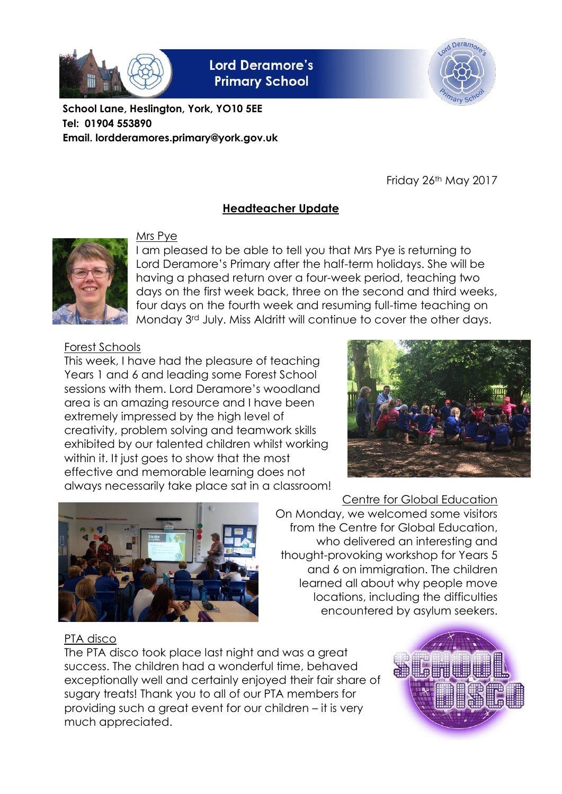

**Lord Deramore's Primary School** 



**School Lane, Heslington, York, YO10 5EE Tel: 01904 553890 Email. lordderamores.primary@york.gov.uk**

Friday 26th May 2017

## **Headteacher Update**



#### Mrs Pye

I am pleased to be able to tell you that Mrs Pye is returning to Lord Deramore's Primary after the half-term holidays. She will be having a phased return over a four-week period, teaching two days on the first week back, three on the second and third weeks, four days on the fourth week and resuming full-time teaching on Monday 3rd July. Miss Aldritt will continue to cover the other days.

Forest Schools

This week, I have had the pleasure of teaching Years 1 and 6 and leading some Forest School sessions with them. Lord Deramore's woodland area is an amazing resource and I have been extremely impressed by the high level of creativity, problem solving and teamwork skills exhibited by our talented children whilst working within it. It just goes to show that the most effective and memorable learning does not always necessarily take place sat in a classroom!





Centre for Global Education On Monday, we welcomed some visitors from the Centre for Global Education, who delivered an interesting and thought-provoking workshop for Years 5 and 6 on immigration. The children learned all about why people move locations, including the difficulties encountered by asylum seekers.

### PTA disco

The PTA disco took place last night and was a great success. The children had a wonderful time, behaved exceptionally well and certainly enjoyed their fair share of sugary treats! Thank you to all of our PTA members for providing such a great event for our children – it is very much appreciated.